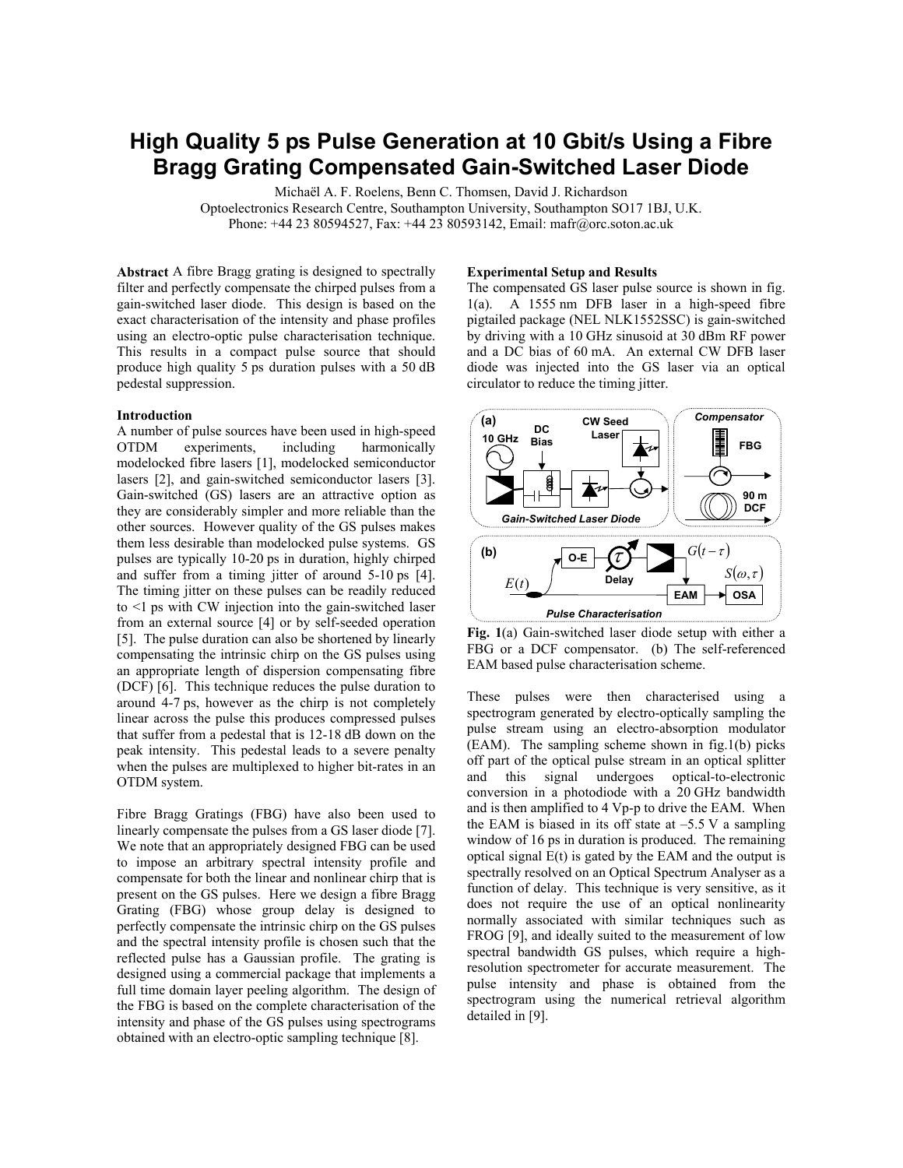# **High Quality 5 ps Pulse Generation at 10 Gbit/s Using a Fibre Bragg Grating Compensated Gain-Switched Laser Diode**

Michaël A. F. Roelens, Benn C. Thomsen, David J. Richardson

Optoelectronics Research Centre, Southampton University, Southampton SO17 1BJ, U.K. Phone: +44 23 80594527, Fax: +44 23 80593142, Email: mafr@orc.soton.ac.uk

**Abstract** A fibre Bragg grating is designed to spectrally filter and perfectly compensate the chirped pulses from a gain-switched laser diode. This design is based on the exact characterisation of the intensity and phase profiles using an electro-optic pulse characterisation technique. This results in a compact pulse source that should produce high quality 5 ps duration pulses with a 50 dB pedestal suppression.

### **Introduction**

A number of pulse sources have been used in high-speed OTDM experiments, including harmonically modelocked fibre lasers [1], modelocked semiconductor lasers [2], and gain-switched semiconductor lasers [3]. Gain-switched (GS) lasers are an attractive option as they are considerably simpler and more reliable than the other sources. However quality of the GS pulses makes them less desirable than modelocked pulse systems. GS pulses are typically 10-20 ps in duration, highly chirped and suffer from a timing jitter of around 5-10 ps [4]. The timing jitter on these pulses can be readily reduced to <1 ps with CW injection into the gain-switched laser from an external source [4] or by self-seeded operation [5]. The pulse duration can also be shortened by linearly compensating the intrinsic chirp on the GS pulses using an appropriate length of dispersion compensating fibre (DCF) [6]. This technique reduces the pulse duration to around 4-7 ps, however as the chirp is not completely linear across the pulse this produces compressed pulses that suffer from a pedestal that is 12-18 dB down on the peak intensity. This pedestal leads to a severe penalty when the pulses are multiplexed to higher bit-rates in an OTDM system.

Fibre Bragg Gratings (FBG) have also been used to linearly compensate the pulses from a GS laser diode [7]. We note that an appropriately designed FBG can be used to impose an arbitrary spectral intensity profile and compensate for both the linear and nonlinear chirp that is present on the GS pulses. Here we design a fibre Bragg Grating (FBG) whose group delay is designed to perfectly compensate the intrinsic chirp on the GS pulses and the spectral intensity profile is chosen such that the reflected pulse has a Gaussian profile. The grating is designed using a commercial package that implements a full time domain layer peeling algorithm. The design of the FBG is based on the complete characterisation of the intensity and phase of the GS pulses using spectrograms obtained with an electro-optic sampling technique [8].

#### **Experimental Setup and Results**

The compensated GS laser pulse source is shown in fig. 1(a). A 1555 nm DFB laser in a high-speed fibre pigtailed package (NEL NLK1552SSC) is gain-switched by driving with a 10 GHz sinusoid at 30 dBm RF power and a DC bias of 60 mA. An external CW DFB laser diode was injected into the GS laser via an optical circulator to reduce the timing jitter.



**Fig. 1**(a) Gain-switched laser diode setup with either a FBG or a DCF compensator. (b) The self-referenced EAM based pulse characterisation scheme.

These pulses were then characterised using a spectrogram generated by electro-optically sampling the pulse stream using an electro-absorption modulator (EAM). The sampling scheme shown in fig.1(b) picks off part of the optical pulse stream in an optical splitter and this signal undergoes optical-to-electronic conversion in a photodiode with a 20 GHz bandwidth and is then amplified to 4 Vp-p to drive the EAM. When the EAM is biased in its off state at  $-5.5$  V a sampling window of 16 ps in duration is produced. The remaining optical signal E(t) is gated by the EAM and the output is spectrally resolved on an Optical Spectrum Analyser as a function of delay. This technique is very sensitive, as it does not require the use of an optical nonlinearity normally associated with similar techniques such as FROG [9], and ideally suited to the measurement of low spectral bandwidth GS pulses, which require a highresolution spectrometer for accurate measurement. The pulse intensity and phase is obtained from the spectrogram using the numerical retrieval algorithm detailed in [9].